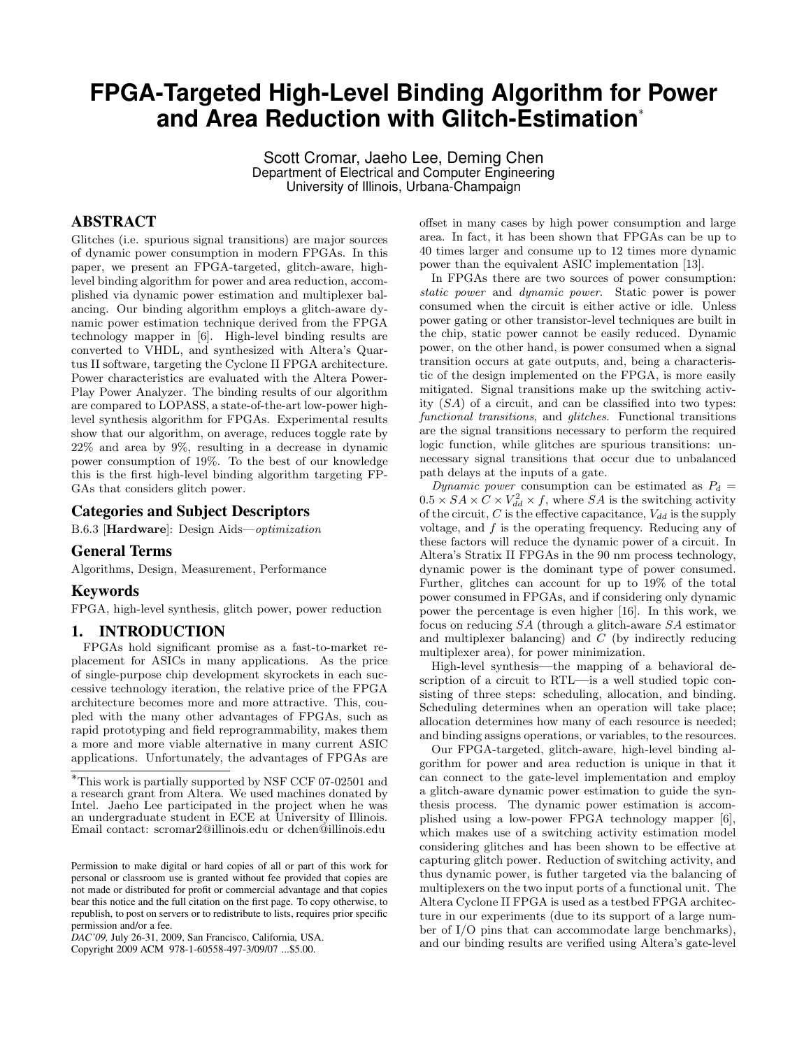# **FPGA-Targeted High-Level Binding Algorithm for Power and Area Reduction with Glitch-Estimation**<sup>∗</sup>

Scott Cromar, Jaeho Lee, Deming Chen Department of Electrical and Computer Engineering University of Illinois, Urbana-Champaign

# ABSTRACT

Glitches (i.e. spurious signal transitions) are major sources of dynamic power consumption in modern FPGAs. In this paper, we present an FPGA-targeted, glitch-aware, highlevel binding algorithm for power and area reduction, accomplished via dynamic power estimation and multiplexer balancing. Our binding algorithm employs a glitch-aware dynamic power estimation technique derived from the FPGA technology mapper in [6]. High-level binding results are converted to VHDL, and synthesized with Altera's Quartus II software, targeting the Cyclone II FPGA architecture. Power characteristics are evaluated with the Altera Power-Play Power Analyzer. The binding results of our algorithm are compared to LOPASS, a state-of-the-art low-power highlevel synthesis algorithm for FPGAs. Experimental results show that our algorithm, on average, reduces toggle rate by 22% and area by 9%, resulting in a decrease in dynamic power consumption of 19%. To the best of our knowledge this is the first high-level binding algorithm targeting FP-GAs that considers glitch power.

# Categories and Subject Descriptors

B.6.3 [Hardware]: Design Aids—optimization

#### General Terms

Algorithms, Design, Measurement, Performance

#### Keywords

FPGA, high-level synthesis, glitch power, power reduction

## 1. INTRODUCTION

FPGAs hold significant promise as a fast-to-market replacement for ASICs in many applications. As the price of single-purpose chip development skyrockets in each successive technology iteration, the relative price of the FPGA architecture becomes more and more attractive. This, coupled with the many other advantages of FPGAs, such as rapid prototyping and field reprogrammability, makes them a more and more viable alternative in many current ASIC applications. Unfortunately, the advantages of FPGAs are

Copyright 2009 ACM 978-1-60558-497-3/09/07 ...\$5.00.

offset in many cases by high power consumption and large area. In fact, it has been shown that FPGAs can be up to 40 times larger and consume up to 12 times more dynamic power than the equivalent ASIC implementation [13].

In FPGAs there are two sources of power consumption: static power and dynamic power. Static power is power consumed when the circuit is either active or idle. Unless power gating or other transistor-level techniques are built in the chip, static power cannot be easily reduced. Dynamic power, on the other hand, is power consumed when a signal transition occurs at gate outputs, and, being a characteristic of the design implemented on the FPGA, is more easily mitigated. Signal transitions make up the switching activity  $(SA)$  of a circuit, and can be classified into two types: functional transitions, and glitches. Functional transitions are the signal transitions necessary to perform the required logic function, while glitches are spurious transitions: unnecessary signal transitions that occur due to unbalanced path delays at the inputs of a gate.

Dynamic power consumption can be estimated as  $P_d =$  $0.5 \times SA \times C \times V_{dd}^2 \times f$ , where SA is the switching activity of the circuit, C is the effective capacitance,  $V_{dd}$  is the supply voltage, and f is the operating frequency. Reducing any of these factors will reduce the dynamic power of a circuit. In Altera's Stratix II FPGAs in the 90 nm process technology, dynamic power is the dominant type of power consumed. Further, glitches can account for up to 19% of the total power consumed in FPGAs, and if considering only dynamic power the percentage is even higher [16]. In this work, we focus on reducing SA (through a glitch-aware SA estimator and multiplexer balancing) and C (by indirectly reducing multiplexer area), for power minimization.

High-level synthesis—the mapping of a behavioral description of a circuit to RTL—is a well studied topic consisting of three steps: scheduling, allocation, and binding. Scheduling determines when an operation will take place; allocation determines how many of each resource is needed; and binding assigns operations, or variables, to the resources.

Our FPGA-targeted, glitch-aware, high-level binding algorithm for power and area reduction is unique in that it can connect to the gate-level implementation and employ a glitch-aware dynamic power estimation to guide the synthesis process. The dynamic power estimation is accomplished using a low-power FPGA technology mapper [6], which makes use of a switching activity estimation model considering glitches and has been shown to be effective at capturing glitch power. Reduction of switching activity, and thus dynamic power, is futher targeted via the balancing of multiplexers on the two input ports of a functional unit. The Altera Cyclone II FPGA is used as a testbed FPGA architecture in our experiments (due to its support of a large number of I/O pins that can accommodate large benchmarks), and our binding results are verified using Altera's gate-level

<sup>∗</sup>This work is partially supported by NSF CCF 07-02501 and a research grant from Altera. We used machines donated by Intel. Jaeho Lee participated in the project when he was an undergraduate student in ECE at University of Illinois. Email contact: scromar2@illinois.edu or dchen@illinois.edu

Permission to make digital or hard copies of all or part of this work for personal or classroom use is granted without fee provided that copies are not made or distributed for profit or commercial advantage and that copies bear this notice and the full citation on the first page. To copy otherwise, to republish, to post on servers or to redistribute to lists, requires prior specific permission and/or a fee.

*DAC'09,* July 26-31, 2009, San Francisco, California, USA.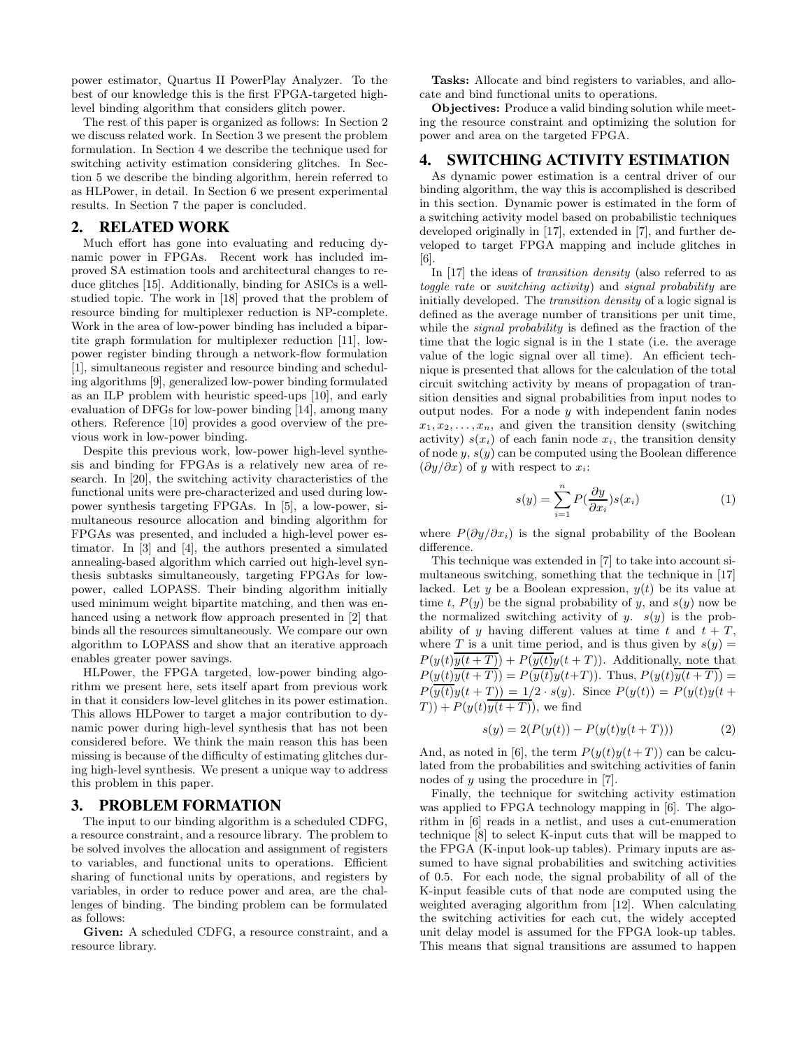power estimator, Quartus II PowerPlay Analyzer. To the best of our knowledge this is the first FPGA-targeted highlevel binding algorithm that considers glitch power.

The rest of this paper is organized as follows: In Section 2 we discuss related work. In Section 3 we present the problem formulation. In Section 4 we describe the technique used for switching activity estimation considering glitches. In Section 5 we describe the binding algorithm, herein referred to as HLPower, in detail. In Section 6 we present experimental results. In Section 7 the paper is concluded.

## 2. RELATED WORK

Much effort has gone into evaluating and reducing dynamic power in FPGAs. Recent work has included improved SA estimation tools and architectural changes to reduce glitches [15]. Additionally, binding for ASICs is a wellstudied topic. The work in [18] proved that the problem of resource binding for multiplexer reduction is NP-complete. Work in the area of low-power binding has included a bipartite graph formulation for multiplexer reduction [11], lowpower register binding through a network-flow formulation [1], simultaneous register and resource binding and scheduling algorithms [9], generalized low-power binding formulated as an ILP problem with heuristic speed-ups [10], and early evaluation of DFGs for low-power binding [14], among many others. Reference [10] provides a good overview of the previous work in low-power binding.

Despite this previous work, low-power high-level synthesis and binding for FPGAs is a relatively new area of research. In [20], the switching activity characteristics of the functional units were pre-characterized and used during lowpower synthesis targeting FPGAs. In [5], a low-power, simultaneous resource allocation and binding algorithm for FPGAs was presented, and included a high-level power estimator. In [3] and [4], the authors presented a simulated annealing-based algorithm which carried out high-level synthesis subtasks simultaneously, targeting FPGAs for lowpower, called LOPASS. Their binding algorithm initially used minimum weight bipartite matching, and then was enhanced using a network flow approach presented in [2] that binds all the resources simultaneously. We compare our own algorithm to LOPASS and show that an iterative approach enables greater power savings.

HLPower, the FPGA targeted, low-power binding algorithm we present here, sets itself apart from previous work in that it considers low-level glitches in its power estimation. This allows HLPower to target a major contribution to dynamic power during high-level synthesis that has not been considered before. We think the main reason this has been missing is because of the difficulty of estimating glitches during high-level synthesis. We present a unique way to address this problem in this paper.

#### 3. PROBLEM FORMATION

The input to our binding algorithm is a scheduled CDFG, a resource constraint, and a resource library. The problem to be solved involves the allocation and assignment of registers to variables, and functional units to operations. Efficient sharing of functional units by operations, and registers by variables, in order to reduce power and area, are the challenges of binding. The binding problem can be formulated as follows:

Given: A scheduled CDFG, a resource constraint, and a resource library.

Tasks: Allocate and bind registers to variables, and allocate and bind functional units to operations.

Objectives: Produce a valid binding solution while meeting the resource constraint and optimizing the solution for power and area on the targeted FPGA.

## 4. SWITCHING ACTIVITY ESTIMATION

As dynamic power estimation is a central driver of our binding algorithm, the way this is accomplished is described in this section. Dynamic power is estimated in the form of a switching activity model based on probabilistic techniques developed originally in [17], extended in [7], and further developed to target FPGA mapping and include glitches in [6].

In [17] the ideas of *transition density* (also referred to as toggle rate or switching activity) and signal probability are initially developed. The transition density of a logic signal is defined as the average number of transitions per unit time, while the *signal probability* is defined as the fraction of the time that the logic signal is in the 1 state (i.e. the average value of the logic signal over all time). An efficient technique is presented that allows for the calculation of the total circuit switching activity by means of propagation of transition densities and signal probabilities from input nodes to output nodes. For a node  $y$  with independent fanin nodes  $x_1, x_2, \ldots, x_n$ , and given the transition density (switching activity)  $s(x_i)$  of each fanin node  $x_i$ , the transition density of node  $y, s(y)$  can be computed using the Boolean difference  $(\partial y/\partial x)$  of y with respect to  $x_i$ :

$$
s(y) = \sum_{i=1}^{n} P(\frac{\partial y}{\partial x_i}) s(x_i)
$$
 (1)

where  $P(\partial y/\partial x_i)$  is the signal probability of the Boolean difference.

This technique was extended in [7] to take into account simultaneous switching, something that the technique in [17] lacked. Let  $y$  be a Boolean expression,  $y(t)$  be its value at time t,  $P(y)$  be the signal probability of y, and  $s(y)$  now be the normalized switching activity of  $y$ .  $s(y)$  is the probability of y having different values at time t and  $t + T$ , where T is a unit time period, and is thus given by  $s(y) =$  $P(y(t)y(t+T)) + P(y(t)y(t+T))$ . Additionally, note that  $P(y(t)\overline{y(t+T)}) = P(\overline{y(t)}y(t+T))$ . Thus,  $P(y(t)\overline{y(t+T)}) =$  $P(y(t)y(t+T)) = 1/2 \cdot s(y)$ . Since  $P(y(t)) = P(y(t)y(t+T))$  $(T)$ ) +  $P(y(t)\overline{y(t+T)})$ , we find

$$
s(y) = 2(P(y(t)) - P(y(t)y(t+T)))
$$
 (2)

And, as noted in [6], the term  $P(y(t)y(t+T))$  can be calculated from the probabilities and switching activities of fanin nodes of y using the procedure in [7].

Finally, the technique for switching activity estimation was applied to FPGA technology mapping in [6]. The algorithm in [6] reads in a netlist, and uses a cut-enumeration technique [8] to select K-input cuts that will be mapped to the FPGA (K-input look-up tables). Primary inputs are assumed to have signal probabilities and switching activities of 0.5. For each node, the signal probability of all of the K-input feasible cuts of that node are computed using the weighted averaging algorithm from [12]. When calculating the switching activities for each cut, the widely accepted unit delay model is assumed for the FPGA look-up tables. This means that signal transitions are assumed to happen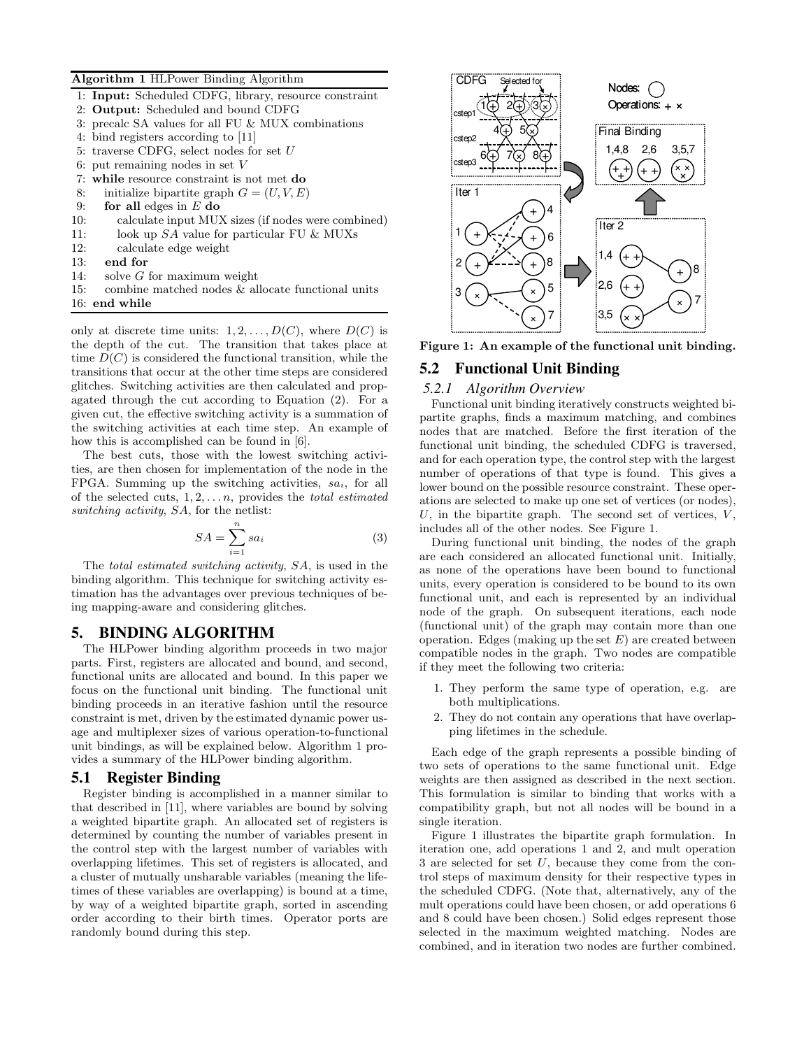Algorithm 1 HLPower Binding Algorithm

| 1: Input: Scheduled CDFG, library, resource constraint    |
|-----------------------------------------------------------|
| 2: <b>Output:</b> Scheduled and bound CDFG                |
| 3: precalc SA values for all FU $\&$ MUX combinations     |
| 4: bind registers according to [11]                       |
| 5: traverse CDFG, select nodes for set $U$                |
| 6: put remaining nodes in set $V$                         |
| 7: while resource constraint is not met do                |
| initialize bipartite graph $G = (U, V, E)$<br>8:          |
| for all edges in $E$ do<br>9:                             |
| calculate input MUX sizes (if nodes were combined)<br>10: |
| look up $SA$ value for particular FU & MUXs<br>11:        |
| calculate edge weight<br>12:                              |
| end for<br>13:                                            |
| solve $G$ for maximum weight<br>14:                       |
| combine matched nodes & allocate functional units<br>15:  |
| 16: end while                                             |

only at discrete time units:  $1, 2, \ldots, D(C)$ , where  $D(C)$  is the depth of the cut. The transition that takes place at time  $D(C)$  is considered the functional transition, while the transitions that occur at the other time steps are considered glitches. Switching activities are then calculated and propagated through the cut according to Equation (2). For a given cut, the effective switching activity is a summation of the switching activities at each time step. An example of how this is accomplished can be found in [6].

The best cuts, those with the lowest switching activities, are then chosen for implementation of the node in the FPGA. Summing up the switching activities,  $sa_i$ , for all of the selected cuts,  $1, 2, \ldots n$ , provides the *total estimated* switching activity, SA, for the netlist:

$$
SA = \sum_{i=1}^{n} sa_i \tag{3}
$$

The total estimated switching activity, SA, is used in the binding algorithm. This technique for switching activity estimation has the advantages over previous techniques of being mapping-aware and considering glitches.

## 5. BINDING ALGORITHM

The HLPower binding algorithm proceeds in two major parts. First, registers are allocated and bound, and second, functional units are allocated and bound. In this paper we focus on the functional unit binding. The functional unit binding proceeds in an iterative fashion until the resource constraint is met, driven by the estimated dynamic power usage and multiplexer sizes of various operation-to-functional unit bindings, as will be explained below. Algorithm 1 provides a summary of the HLPower binding algorithm.

## 5.1 Register Binding

Register binding is accomplished in a manner similar to that described in [11], where variables are bound by solving a weighted bipartite graph. An allocated set of registers is determined by counting the number of variables present in the control step with the largest number of variables with overlapping lifetimes. This set of registers is allocated, and a cluster of mutually unsharable variables (meaning the lifetimes of these variables are overlapping) is bound at a time, by way of a weighted bipartite graph, sorted in ascending order according to their birth times. Operator ports are randomly bound during this step.



Figure 1: An example of the functional unit binding.

# 5.2 Functional Unit Binding

#### *5.2.1 Algorithm Overview*

Functional unit binding iteratively constructs weighted bipartite graphs, finds a maximum matching, and combines nodes that are matched. Before the first iteration of the functional unit binding, the scheduled CDFG is traversed, and for each operation type, the control step with the largest number of operations of that type is found. This gives a lower bound on the possible resource constraint. These operations are selected to make up one set of vertices (or nodes), U, in the bipartite graph. The second set of vertices,  $V$ , includes all of the other nodes. See Figure 1.

During functional unit binding, the nodes of the graph are each considered an allocated functional unit. Initially, as none of the operations have been bound to functional units, every operation is considered to be bound to its own functional unit, and each is represented by an individual node of the graph. On subsequent iterations, each node (functional unit) of the graph may contain more than one operation. Edges (making up the set  $E$ ) are created between compatible nodes in the graph. Two nodes are compatible if they meet the following two criteria:

- 1. They perform the same type of operation, e.g. are both multiplications.
- 2. They do not contain any operations that have overlapping lifetimes in the schedule.

Each edge of the graph represents a possible binding of two sets of operations to the same functional unit. Edge weights are then assigned as described in the next section. This formulation is similar to binding that works with a compatibility graph, but not all nodes will be bound in a single iteration.

Figure 1 illustrates the bipartite graph formulation. In iteration one, add operations 1 and 2, and mult operation 3 are selected for set U, because they come from the control steps of maximum density for their respective types in the scheduled CDFG. (Note that, alternatively, any of the mult operations could have been chosen, or add operations 6 and 8 could have been chosen.) Solid edges represent those selected in the maximum weighted matching. Nodes are combined, and in iteration two nodes are further combined.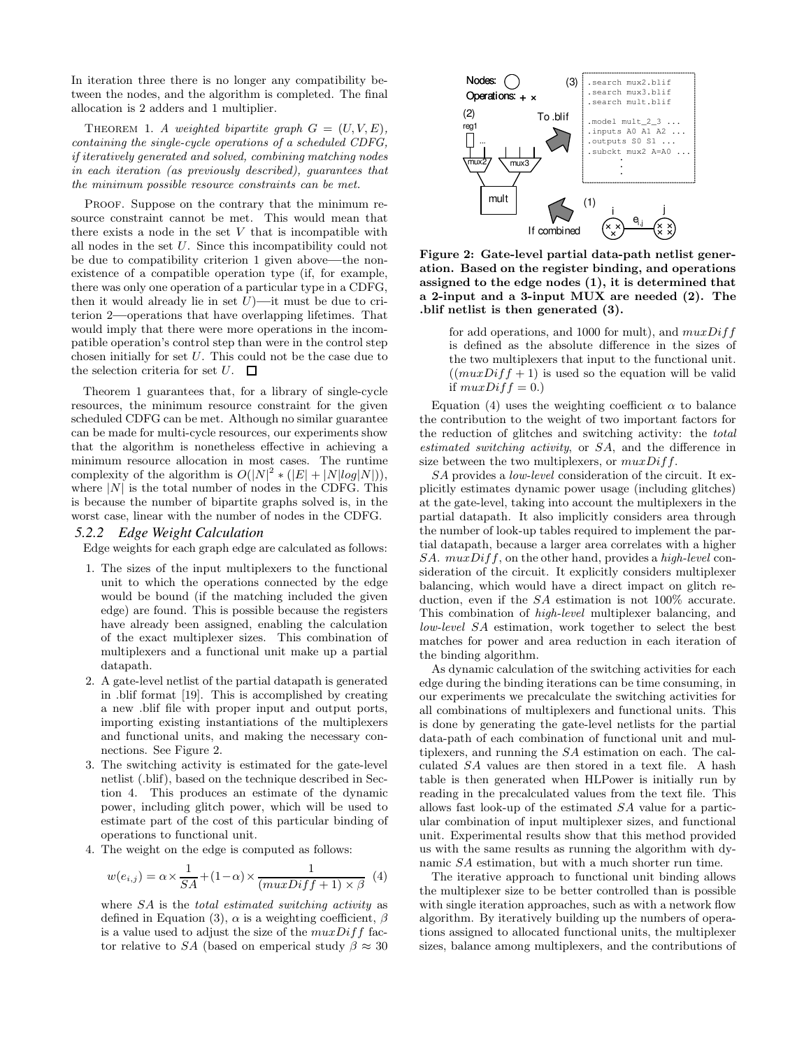In iteration three there is no longer any compatibility between the nodes, and the algorithm is completed. The final allocation is 2 adders and 1 multiplier.

THEOREM 1. A weighted bipartite graph  $G = (U, V, E)$ , containing the single-cycle operations of a scheduled CDFG, if iteratively generated and solved, combining matching nodes in each iteration (as previously described), guarantees that the minimum possible resource constraints can be met.

PROOF. Suppose on the contrary that the minimum resource constraint cannot be met. This would mean that there exists a node in the set  $V$  that is incompatible with all nodes in the set  $U$ . Since this incompatibility could not be due to compatibility criterion 1 given above—the nonexistence of a compatible operation type (if, for example, there was only one operation of a particular type in a CDFG, then it would already lie in set  $U$ )—it must be due to criterion 2—operations that have overlapping lifetimes. That would imply that there were more operations in the incompatible operation's control step than were in the control step chosen initially for set U. This could not be the case due to the selection criteria for set  $U$ .  $\square$ 

Theorem 1 guarantees that, for a library of single-cycle resources, the minimum resource constraint for the given scheduled CDFG can be met. Although no similar guarantee can be made for multi-cycle resources, our experiments show that the algorithm is nonetheless effective in achieving a minimum resource allocation in most cases. The runtime complexity of the algorithm is  $O(|N|^2 * (|E| + |N|log|N|)),$ where  $|N|$  is the total number of nodes in the CDFG. This is because the number of bipartite graphs solved is, in the worst case, linear with the number of nodes in the CDFG.

#### *5.2.2 Edge Weight Calculation*

Edge weights for each graph edge are calculated as follows:

- 1. The sizes of the input multiplexers to the functional unit to which the operations connected by the edge would be bound (if the matching included the given edge) are found. This is possible because the registers have already been assigned, enabling the calculation of the exact multiplexer sizes. This combination of multiplexers and a functional unit make up a partial datapath.
- 2. A gate-level netlist of the partial datapath is generated in .blif format [19]. This is accomplished by creating a new .blif file with proper input and output ports, importing existing instantiations of the multiplexers and functional units, and making the necessary connections. See Figure 2.
- 3. The switching activity is estimated for the gate-level netlist (.blif), based on the technique described in Section 4. This produces an estimate of the dynamic power, including glitch power, which will be used to estimate part of the cost of this particular binding of operations to functional unit.
- 4. The weight on the edge is computed as follows:

$$
w(e_{i,j}) = \alpha \times \frac{1}{SA} + (1 - \alpha) \times \frac{1}{(muxDiff + 1) \times \beta} \tag{4}
$$

where SA is the *total estimated switching activity* as defined in Equation (3),  $\alpha$  is a weighting coefficient,  $\beta$ is a value used to adjust the size of the  $mu xDiff$  factor relative to SA (based on emperical study  $\beta \approx 30$ 



Figure 2: Gate-level partial data-path netlist generation. Based on the register binding, and operations assigned to the edge nodes (1), it is determined that a 2-input and a 3-input MUX are needed (2). The .blif netlist is then generated (3).

for add operations, and 1000 for mult), and  $muxDiff$ is defined as the absolute difference in the sizes of the two multiplexers that input to the functional unit.  $((muxDiff + 1)$  is used so the equation will be valid if  $maxDiff = 0.$ 

Equation (4) uses the weighting coefficient  $\alpha$  to balance the contribution to the weight of two important factors for the reduction of glitches and switching activity: the total estimated switching activity, or SA, and the difference in size between the two multiplexers, or  $muxDiff$ .

SA provides a *low-level* consideration of the circuit. It explicitly estimates dynamic power usage (including glitches) at the gate-level, taking into account the multiplexers in the partial datapath. It also implicitly considers area through the number of look-up tables required to implement the partial datapath, because a larger area correlates with a higher SA.  $mu xDiff$ , on the other hand, provides a *high-level* consideration of the circuit. It explicitly considers multiplexer balancing, which would have a direct impact on glitch reduction, even if the SA estimation is not 100% accurate. This combination of high-level multiplexer balancing, and low-level SA estimation, work together to select the best matches for power and area reduction in each iteration of the binding algorithm.

As dynamic calculation of the switching activities for each edge during the binding iterations can be time consuming, in our experiments we precalculate the switching activities for all combinations of multiplexers and functional units. This is done by generating the gate-level netlists for the partial data-path of each combination of functional unit and multiplexers, and running the SA estimation on each. The calculated SA values are then stored in a text file. A hash table is then generated when HLPower is initially run by reading in the precalculated values from the text file. This allows fast look-up of the estimated SA value for a particular combination of input multiplexer sizes, and functional unit. Experimental results show that this method provided us with the same results as running the algorithm with dynamic SA estimation, but with a much shorter run time.

The iterative approach to functional unit binding allows the multiplexer size to be better controlled than is possible with single iteration approaches, such as with a network flow algorithm. By iteratively building up the numbers of operations assigned to allocated functional units, the multiplexer sizes, balance among multiplexers, and the contributions of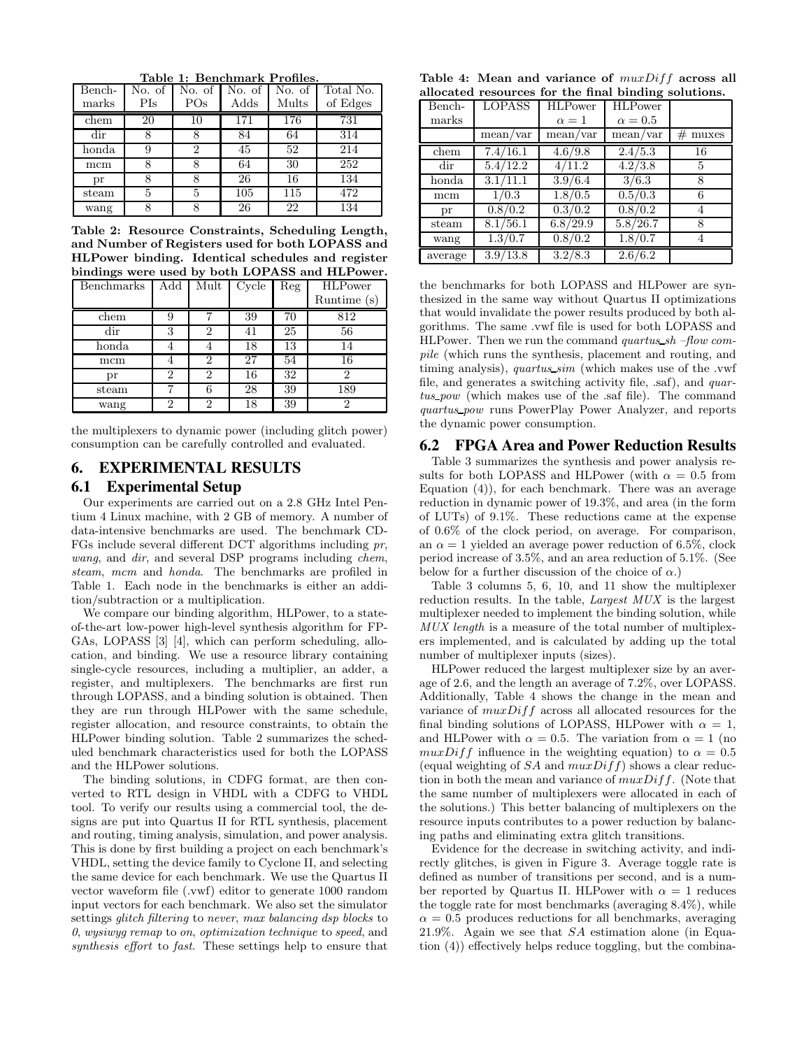Table 1: Benchmark Profiles.

| Bench-    | No. of | No. of | No. of | No. of | Total No. |
|-----------|--------|--------|--------|--------|-----------|
| marks     | PIs    | POS    | Adds   | Mults  | of Edges  |
| chem      | 20     | 10     | 171    | 176    | 731       |
| $\rm dir$ | 8      | 8      | 84     | 64     | 314       |
| honda     | 9      | 2      | 45     | 52     | 214       |
| mcm       | 8      | 8      | 64     | 30     | 252       |
| pr        | 8      | 8      | 26     | 16     | 134       |
| steam     | 5      | 5      | 105    | 115    | 472       |
| wang      | 8      | 8      | 26     | 22     | 134       |

Table 2: Resource Constraints, Scheduling Length, and Number of Registers used for both LOPASS and HLPower binding. Identical schedules and register bindings were used by both LOPASS and HLPower.

| Benchmarks     | $_{\rm Add}$   | Mult | Cycle | Reg | <b>HLPower</b><br>Runtime (s) |
|----------------|----------------|------|-------|-----|-------------------------------|
| chem           | 9              |      | 39    | 70  | 812                           |
| $\mathrm{dir}$ | 3              | 2    | 41    | 25  | 56                            |
| honda          |                |      | 18    | 13  | 14                            |
| mcm            | 4              | 2    | 27    | 54  | 16                            |
| pr             | 2              | 2    | 16    | 32  | 2                             |
| steam          |                | 6    | 28    | 39  | 189                           |
| wang           | $\overline{2}$ | 2    | 18    | 39  | 2                             |

the multiplexers to dynamic power (including glitch power) consumption can be carefully controlled and evaluated.

# 6. EXPERIMENTAL RESULTS

#### 6.1 Experimental Setup

Our experiments are carried out on a 2.8 GHz Intel Pentium 4 Linux machine, with 2 GB of memory. A number of data-intensive benchmarks are used. The benchmark CD-FGs include several different DCT algorithms including pr, wang, and dir, and several DSP programs including *chem*, steam, mcm and honda. The benchmarks are profiled in Table 1. Each node in the benchmarks is either an addition/subtraction or a multiplication.

We compare our binding algorithm, HLPower, to a stateof-the-art low-power high-level synthesis algorithm for FP-GAs, LOPASS [3] [4], which can perform scheduling, allocation, and binding. We use a resource library containing single-cycle resources, including a multiplier, an adder, a register, and multiplexers. The benchmarks are first run through LOPASS, and a binding solution is obtained. Then they are run through HLPower with the same schedule, register allocation, and resource constraints, to obtain the HLPower binding solution. Table 2 summarizes the scheduled benchmark characteristics used for both the LOPASS and the HLPower solutions.

The binding solutions, in CDFG format, are then converted to RTL design in VHDL with a CDFG to VHDL tool. To verify our results using a commercial tool, the designs are put into Quartus II for RTL synthesis, placement and routing, timing analysis, simulation, and power analysis. This is done by first building a project on each benchmark's VHDL, setting the device family to Cyclone II, and selecting the same device for each benchmark. We use the Quartus II vector waveform file (.vwf) editor to generate 1000 random input vectors for each benchmark. We also set the simulator settings *glitch filtering* to *never*, max balancing dsp blocks to 0, wysiwyg remap to on, optimization technique to speed, and synthesis effort to fast. These settings help to ensure that

Table 4: Mean and variance of muxDiff across all allocated resources for the final binding solutions.

| Bench-         | <b>LOPASS</b>         | <b>HLPower</b>        | <b>HLPower</b>       |            |
|----------------|-----------------------|-----------------------|----------------------|------------|
| marks          |                       | $\alpha=1$            | $\alpha = 0.5$       |            |
|                | mean/var              | mean/var              | mean/var             | #<br>muxes |
| chem           | 7.4/16.1              | $4.\overline{6/9.8}$  | 2.4/5.3              | 16         |
| $\mathrm{dir}$ | 5.4/12.2              | 4/11.2                | 4.2/3.8              | 5          |
| honda          | $3.\overline{1/11.1}$ | 3.9/6.4               | 3/6.3                | 8          |
| mcm            | 1/0.3                 | $1.8/\overline{0.5}$  | $0.5/0.\overline{3}$ | 6          |
| pr             | 0.8/0.2               | 0.3/0.2               | 0.8/0.2              | 4          |
| steam          | 8.1/56.1              | $6.\overline{8/29.9}$ | 5.8/26.7             | 8          |
| wang           | 1.3/0.7               | 0.8/0.2               | 1.8/0.7              | 4          |
| average        | 3.9/13.8              | 3.2/8.3               | 2.6/6.2              |            |

the benchmarks for both LOPASS and HLPower are synthesized in the same way without Quartus II optimizations that would invalidate the power results produced by both algorithms. The same .vwf file is used for both LOPASS and HLPower. Then we run the command quartus  $sh$  –flow compile (which runs the synthesis, placement and routing, and timing analysis),  $quartus\_sim$  (which makes use of the .vwf file, and generates a switching activity file, .saf), and quartus pow (which makes use of the .saf file). The command quartus pow runs PowerPlay Power Analyzer, and reports the dynamic power consumption.

## 6.2 FPGA Area and Power Reduction Results

Table 3 summarizes the synthesis and power analysis results for both LOPASS and HLPower (with  $\alpha = 0.5$  from Equation (4)), for each benchmark. There was an average reduction in dynamic power of 19.3%, and area (in the form of LUTs) of 9.1%. These reductions came at the expense of 0.6% of the clock period, on average. For comparison, an  $\alpha = 1$  yielded an average power reduction of 6.5%, clock period increase of 3.5%, and an area reduction of 5.1%. (See below for a further discussion of the choice of  $\alpha$ .)

Table 3 columns 5, 6, 10, and 11 show the multiplexer reduction results. In the table, Largest MUX is the largest multiplexer needed to implement the binding solution, while MUX length is a measure of the total number of multiplexers implemented, and is calculated by adding up the total number of multiplexer inputs (sizes).

HLPower reduced the largest multiplexer size by an average of 2.6, and the length an average of 7.2%, over LOPASS. Additionally, Table 4 shows the change in the mean and variance of  $mu xDiff$  across all allocated resources for the final binding solutions of LOPASS, HLPower with  $\alpha = 1$ , and HLPower with  $\alpha = 0.5$ . The variation from  $\alpha = 1$  (no  $mu xDiff$  influence in the weighting equation) to  $\alpha = 0.5$ (equal weighting of  $SA$  and  $mu xDiff$ ) shows a clear reduction in both the mean and variance of  $mu xDiff$ . (Note that the same number of multiplexers were allocated in each of the solutions.) This better balancing of multiplexers on the resource inputs contributes to a power reduction by balancing paths and eliminating extra glitch transitions.

Evidence for the decrease in switching activity, and indirectly glitches, is given in Figure 3. Average toggle rate is defined as number of transitions per second, and is a number reported by Quartus II. HLPower with  $\alpha = 1$  reduces the toggle rate for most benchmarks (averaging 8.4%), while  $\alpha = 0.5$  produces reductions for all benchmarks, averaging 21.9%. Again we see that SA estimation alone (in Equation (4)) effectively helps reduce toggling, but the combina-